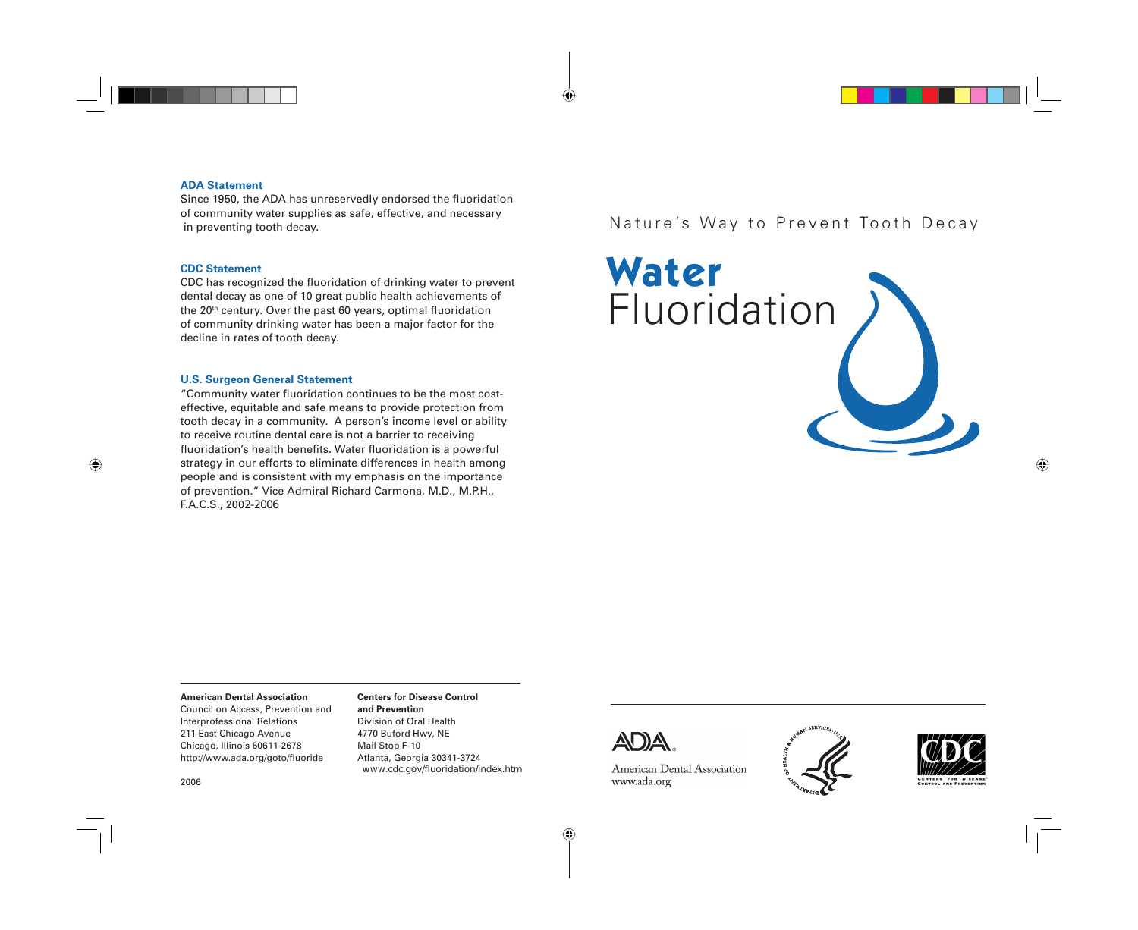#### **ADA Statement**

Since 1950, the ADA has unreservedly endorsed the fluoridation of community water supplies as safe, effective, and necessary in preventing tooth decay.

#### **CDC Statement**

CDC has recognized the fluoridation of drinking water to prevent dental decay as one of 10 great public health achievements of the 20th century. Over the past 60 years, optimal fluoridation of community drinking water has been a major factor for the decline in rates of tooth decay.

#### **U.S. Surgeon General Statement**

"Community water fluoridation continues to be the most costeffective, equitable and safe means to provide protection from tooth decay in a community. A person's income level or ability to receive routine dental care is not a barrier to receiving fluoridation's health benefits. Water fluoridation is a powerful strategy in our efforts to eliminate differences in health among people and is consistent with my emphasis on the importance of prevention." Vice Admiral Richard Carmona, M.D., M.P.H., F.A.C.S., 2002-2006

## Nature's Way to Prevent Tooth Decay

**Water** Fluoridation

#### **American Dental Association**

Council on Access, Prevention and Interprofessional Relations 211 East Chicago Avenue Chicago, Illinois 60611-2678 http://www.ada.org/goto/fluoride

#### **Centers for Disease Control and Prevention**

Division of Oral Health 4770 Buford Hwy, NE Mail Stop F-10 Atlanta, Georgia 30341-3724 www.cdc.gov/fluoridation/index.htm



American Dental Association www.ada.org